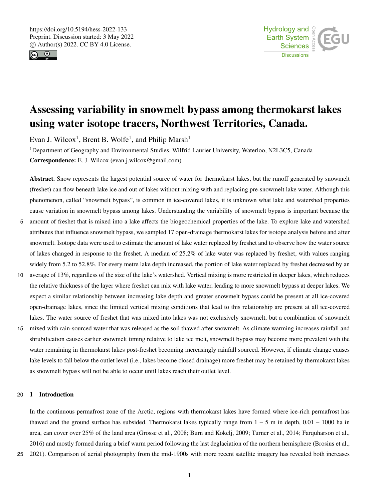



# Assessing variability in snowmelt bypass among thermokarst lakes using water isotope tracers, Northwest Territories, Canada.

Evan J. Wil $\cos^1$ , Brent B. Wolfe<sup>1</sup>, and Philip Marsh<sup>1</sup>

<sup>1</sup>Department of Geography and Environmental Studies, Wilfrid Laurier University, Waterloo, N2L3C5, Canada Correspondence: E. J. Wilcox (evan.j.wilcox@gmail.com)

Abstract. Snow represents the largest potential source of water for thermokarst lakes, but the runoff generated by snowmelt (freshet) can flow beneath lake ice and out of lakes without mixing with and replacing pre-snowmelt lake water. Although this phenomenon, called "snowmelt bypass", is common in ice-covered lakes, it is unknown what lake and watershed properties cause variation in snowmelt bypass among lakes. Understanding the variability of snowmelt bypass is important because the

- 5 amount of freshet that is mixed into a lake affects the biogeochemical properties of the lake. To explore lake and watershed attributes that influence snowmelt bypass, we sampled 17 open-drainage thermokarst lakes for isotope analysis before and after snowmelt. Isotope data were used to estimate the amount of lake water replaced by freshet and to observe how the water source of lakes changed in response to the freshet. A median of 25.2% of lake water was replaced by freshet, with values ranging widely from 5.2 to 52.8%. For every metre lake depth increased, the portion of lake water replaced by freshet decreased by an
- 10 average of 13%, regardless of the size of the lake's watershed. Vertical mixing is more restricted in deeper lakes, which reduces the relative thickness of the layer where freshet can mix with lake water, leading to more snowmelt bypass at deeper lakes. We expect a similar relationship between increasing lake depth and greater snowmelt bypass could be present at all ice-covered open-drainage lakes, since the limited vertical mixing conditions that lead to this relationship are present at all ice-covered lakes. The water source of freshet that was mixed into lakes was not exclusively snowmelt, but a combination of snowmelt
- 15 mixed with rain-sourced water that was released as the soil thawed after snowmelt. As climate warming increases rainfall and shrubification causes earlier snowmelt timing relative to lake ice melt, snowmelt bypass may become more prevalent with the water remaining in thermokarst lakes post-freshet becoming increasingly rainfall sourced. However, if climate change causes lake levels to fall below the outlet level (i.e., lakes become closed drainage) more freshet may be retained by thermokarst lakes as snowmelt bypass will not be able to occur until lakes reach their outlet level.

### 20 1 Introduction

In the continuous permafrost zone of the Arctic, regions with thermokarst lakes have formed where ice-rich permafrost has thawed and the ground surface has subsided. Thermokarst lakes typically range from  $1 - 5$  m in depth,  $0.01 - 1000$  ha in area, can cover over 25% of the land area (Grosse et al., 2008; Burn and Kokelj, 2009; Turner et al., 2014; Farquharson et al., 2016) and mostly formed during a brief warm period following the last deglaciation of the northern hemisphere (Brosius et al.,

25 2021). Comparison of aerial photography from the mid-1900s with more recent satellite imagery has revealed both increases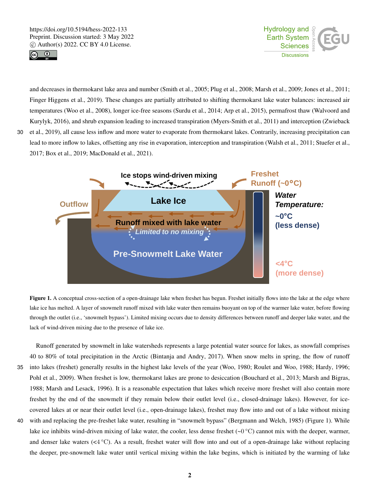



**<4°C**

**(more dense)**

and decreases in thermokarst lake area and number (Smith et al., 2005; Plug et al., 2008; Marsh et al., 2009; Jones et al., 2011; Finger Higgens et al., 2019). These changes are partially attributed to shifting thermokarst lake water balances: increased air temperatures (Woo et al., 2008), longer ice-free seasons (Surdu et al., 2014; Arp et al., 2015), permafrost thaw (Walvoord and Kurylyk, 2016), and shrub expansion leading to increased transpiration (Myers-Smith et al., 2011) and interception (Zwieback 30 et al., 2019), all cause less inflow and more water to evaporate from thermokarst lakes. Contrarily, increasing precipitation can

lead to more inflow to lakes, offsetting any rise in evaporation, interception and transpiration (Walsh et al., 2011; Stuefer et al.,

2017; Box et al., 2019; MacDonald et al., 2021). **Lake Ice Runoff mixed with lake water Freshet Runoff (~0°C) Outflow** *Limited to no mixing* **~0°C (less dense) Ice stops wind-driven mixing**<br>Exercise the state of the straight *Water Temperature:*

Figure 1. A conceptual cross-section of a open-drainage lake when freshet has begun. Freshet initially flows into the lake at the edge where lake ice has melted. A layer of snowmelt runoff mixed with lake water then remains buoyant on top of the warmer lake water, before flowing through the outlet (i.e., 'snowmelt bypass'). Limited mixing occurs due to density differences between runoff and deeper lake water, and the lack of wind-driven mixing due to the presence of lake ice.

**Pre-Snowmelt Lake Water**

Runoff generated by snowmelt in lake watersheds represents a large potential water source for lakes, as snowfall comprises 40 to 80% of total precipitation in the Arctic (Bintanja and Andry, 2017). When snow melts in spring, the flow of runoff 35 into lakes (freshet) generally results in the highest lake levels of the year (Woo, 1980; Roulet and Woo, 1988; Hardy, 1996; Pohl et al., 2009). When freshet is low, thermokarst lakes are prone to desiccation (Bouchard et al., 2013; Marsh and Bigras, 1988; Marsh and Lesack, 1996). It is a reasonable expectation that lakes which receive more freshet will also contain more freshet by the end of the snowmelt if they remain below their outlet level (i.e., closed-drainage lakes). However, for icecovered lakes at or near their outlet level (i.e., open-drainage lakes), freshet may flow into and out of a lake without mixing 40 with and replacing the pre-freshet lake water, resulting in "snowmelt bypass" (Bergmann and Welch, 1985) (Figure 1). While

lake ice inhibits wind-driven mixing of lake water, the cooler, less dense freshet  $(\sim 0^{\circ}C)$  cannot mix with the deeper, warmer, and denser lake waters  $(\leq 4 \degree C)$ . As a result, freshet water will flow into and out of a open-drainage lake without replacing the deeper, pre-snowmelt lake water until vertical mixing within the lake begins, which is initiated by the warming of lake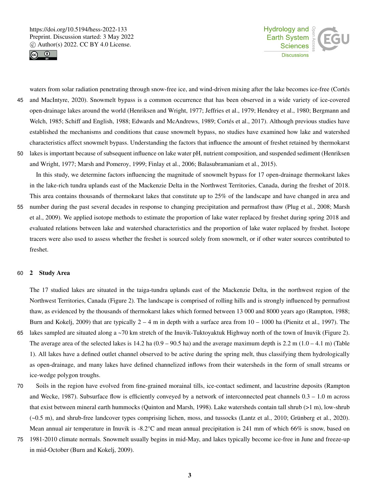



waters from solar radiation penetrating through snow-free ice, and wind-driven mixing after the lake becomes ice-free (Cortés 45 and MacIntyre, 2020). Snowmelt bypass is a common occurrence that has been observed in a wide variety of ice-covered open-drainage lakes around the world (Henriksen and Wright, 1977; Jeffries et al., 1979; Hendrey et al., 1980; Bergmann and Welch, 1985; Schiff and English, 1988; Edwards and McAndrews, 1989; Cortés et al., 2017). Although previous studies have established the mechanisms and conditions that cause snowmelt bypass, no studies have examined how lake and watershed characteristics affect snowmelt bypass. Understanding the factors that influence the amount of freshet retained by thermokarst 50 lakes is important because of subsequent influence on lake water pH, nutrient composition, and suspended sediment (Henriksen and Wright, 1977; Marsh and Pomeroy, 1999; Finlay et al., 2006; Balasubramaniam et al., 2015).

In this study, we determine factors influencing the magnitude of snowmelt bypass for 17 open-drainage thermokarst lakes in the lake-rich tundra uplands east of the Mackenzie Delta in the Northwest Territories, Canada, during the freshet of 2018. This area contains thousands of thermokarst lakes that constitute up to 25% of the landscape and have changed in area and

55 number during the past several decades in response to changing precipitation and permafrost thaw (Plug et al., 2008; Marsh et al., 2009). We applied isotope methods to estimate the proportion of lake water replaced by freshet during spring 2018 and evaluated relations between lake and watershed characteristics and the proportion of lake water replaced by freshet. Isotope tracers were also used to assess whether the freshet is sourced solely from snowmelt, or if other water sources contributed to freshet.

### 60 2 Study Area

The 17 studied lakes are situated in the taiga-tundra uplands east of the Mackenzie Delta, in the northwest region of the Northwest Territories, Canada (Figure 2). The landscape is comprised of rolling hills and is strongly influenced by permafrost thaw, as evidenced by the thousands of thermokarst lakes which formed between 13 000 and 8000 years ago (Rampton, 1988; Burn and Kokelj, 2009) that are typically  $2 - 4$  m in depth with a surface area from  $10 - 1000$  ha (Pienitz et al., 1997). The

- 65 lakes sampled are situated along a  $\sim$ 70 km stretch of the Inuvik-Tuktoyaktuk Highway north of the town of Inuvik (Figure 2). The average area of the selected lakes is 14.2 ha  $(0.9 - 90.5 \text{ ha})$  and the average maximum depth is 2.2 m  $(1.0 - 4.1 \text{ m})$  (Table 1). All lakes have a defined outlet channel observed to be active during the spring melt, thus classifying them hydrologically as open-drainage, and many lakes have defined channelized inflows from their watersheds in the form of small streams or ice-wedge polygon troughs.
- 70 Soils in the region have evolved from fine-grained morainal tills, ice-contact sediment, and lacustrine deposits (Rampton and Wecke, 1987). Subsurface flow is efficiently conveyed by a network of interconnected peat channels  $0.3 - 1.0$  m across that exist between mineral earth hummocks (Quinton and Marsh, 1998). Lake watersheds contain tall shrub (>1 m), low-shrub (~0.5 m), and shrub-free landcover types comprising lichen, moss, and tussocks (Lantz et al., 2010; Grünberg et al., 2020). Mean annual air temperature in Inuvik is -8.2°C and mean annual precipitation is 241 mm of which 66% is snow, based on
- 75 1981-2010 climate normals. Snowmelt usually begins in mid-May, and lakes typically become ice-free in June and freeze-up in mid-October (Burn and Kokelj, 2009).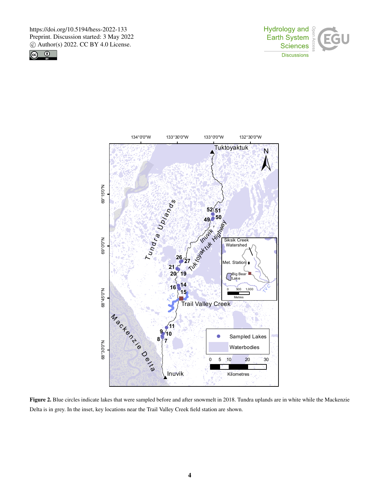





Figure 2. Blue circles indicate lakes that were sampled before and after snowmelt in 2018. Tundra uplands are in white while the Mackenzie Delta is in grey. In the inset, key locations near the Trail Valley Creek field station are shown.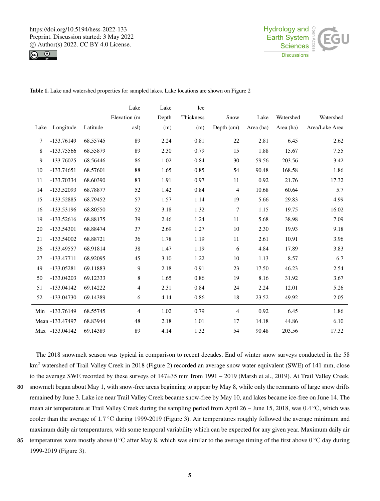



|      |                 |          | Lake           | Lake  | Ice       |                |           |           |                |
|------|-----------------|----------|----------------|-------|-----------|----------------|-----------|-----------|----------------|
|      |                 |          | Elevation (m   | Depth | Thickness | Snow           | Lake      | Watershed | Watershed      |
| Lake | Longitude       | Latitude | asl)           | (m)   | (m)       | Depth (cm)     | Area (ha) | Area (ha) | Area/Lake Area |
| 7    | -133.76149      | 68.55745 | 89             | 2.24  | 0.81      | 22             | 2.81      | 6.45      | 2.62           |
| 8    | -133.75566      | 68.55879 | 89             | 2.30  | 0.79      | 15             | 1.88      | 15.67     | 7.55           |
| 9    | $-133.76025$    | 68.56446 | 86             | 1.02  | 0.84      | 30             | 59.56     | 203.56    | 3.42           |
| 10   | $-133.74651$    | 68.57601 | 88             | 1.65  | 0.85      | 54             | 90.48     | 168.58    | 1.86           |
| 11   | -133.70334      | 68.60390 | 83             | 1.91  | 0.97      | 11             | 0.92      | 21.76     | 17.32          |
| 14   | -133.52093      | 68.78877 | 52             | 1.42  | 0.84      | $\overline{4}$ | 10.68     | 60.64     | 5.7            |
| 15   | -133.52885      | 68.79452 | 57             | 1.57  | 1.14      | 19             | 5.66      | 29.83     | 4.99           |
| 16   | -133.53196      | 68.80550 | 52             | 3.18  | 1.32      | $\tau$         | 1.15      | 19.75     | 16.02          |
| 19   | $-133.52616$    | 68.88175 | 39             | 2.46  | 1.24      | 11             | 5.68      | 38.98     | 7.09           |
| 20   | $-133.54301$    | 68.88474 | 37             | 2.69  | 1.27      | 10             | 2.30      | 19.93     | 9.18           |
| 21   | $-133.54002$    | 68.88721 | 36             | 1.78  | 1.19      | 11             | 2.61      | 10.91     | 3.96           |
| 26   | -133.49557      | 68.91814 | 38             | 1.47  | 1.19      | 6              | 4.84      | 17.89     | 3.83           |
| 27   | $-133.47711$    | 68.92095 | 45             | 3.10  | 1.22      | 10             | 1.13      | 8.57      | 6.7            |
| 49   | $-133.05281$    | 69.11883 | 9              | 2.18  | 0.91      | 23             | 17.50     | 46.23     | 2.54           |
| 50   | $-133.04203$    | 69.12333 | 8              | 1.65  | 0.86      | 19             | 8.16      | 31.92     | 3.67           |
| 51   | $-133.04142$    | 69.14222 | $\overline{4}$ | 2.31  | 0.84      | 24             | 2.24      | 12.01     | 5.26           |
| 52   | $-133.04730$    | 69.14389 | 6              | 4.14  | 0.86      | 18             | 23.52     | 49.92     | 2.05           |
|      | Min -133.76149  | 68.55745 | $\overline{4}$ | 1.02  | 0.79      | $\overline{4}$ | 0.92      | 6.45      | 1.86           |
|      | Mean -133.47497 | 68.83944 | 48             | 2.18  | 1.01      | 17             | 14.18     | 44.86     | 6.10           |
|      | Max -133.04142  | 69.14389 | 89             | 4.14  | 1.32      | 54             | 90.48     | 203.56    | 17.32          |

Table 1. Lake and watershed properties for sampled lakes. Lake locations are shown on Figure 2

The 2018 snowmelt season was typical in comparison to recent decades. End of winter snow surveys conducted in the 58 km<sup>2</sup> watershed of Trail Valley Creek in 2018 (Figure 2) recorded an average snow water equivalent (SWE) of 141 mm, close to the average SWE recorded by these surveys of 147±35 mm from 1991 – 2019 (Marsh et al., 2019). At Trail Valley Creek,

80 snowmelt began about May 1, with snow-free areas beginning to appear by May 8, while only the remnants of large snow drifts remained by June 3. Lake ice near Trail Valley Creek became snow-free by May 10, and lakes became ice-free on June 14. The mean air temperature at Trail Valley Creek during the sampling period from April 26 – June 15, 2018, was 0.4 °C, which was cooler than the average of 1.7 °C during 1999-2019 (Figure 3). Air temperatures roughly followed the average minimum and maximum daily air temperatures, with some temporal variability which can be expected for any given year. Maximum daily air

<sup>85</sup> temperatures were mostly above  $0^{\circ}$ C after May 8, which was similar to the average timing of the first above  $0^{\circ}$ C day during 1999-2019 (Figure 3).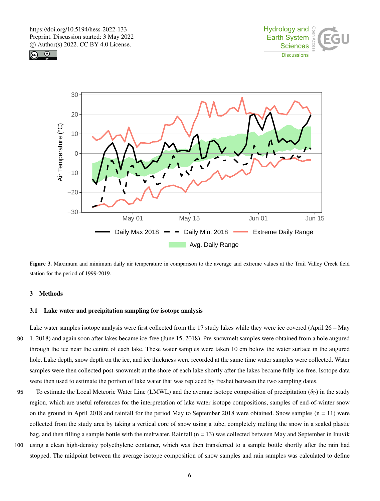





Figure 3. Maximum and minimum daily air temperature in comparison to the average and extreme values at the Trail Valley Creek field station for the period of 1999-2019.

#### 3 Methods

#### 3.1 Lake water and precipitation sampling for isotope analysis

- Lake water samples isotope analysis were first collected from the 17 study lakes while they were ice covered (April 26 May 90 1, 2018) and again soon after lakes became ice-free (June 15, 2018). Pre-snowmelt samples were obtained from a hole augured through the ice near the centre of each lake. These water samples were taken 10 cm below the water surface in the augured hole. Lake depth, snow depth on the ice, and ice thickness were recorded at the same time water samples were collected. Water samples were then collected post-snowmelt at the shore of each lake shortly after the lakes became fully ice-free. Isotope data were then used to estimate the portion of lake water that was replaced by freshet between the two sampling dates.
- 95 To estimate the Local Meteoric Water Line (LMWL) and the average isotope composition of precipitation ( $\delta_P$ ) in the study region, which are useful references for the interpretation of lake water isotope compositions, samples of end-of-winter snow on the ground in April 2018 and rainfall for the period May to September 2018 were obtained. Snow samples  $(n = 11)$  were collected from the study area by taking a vertical core of snow using a tube, completely melting the snow in a sealed plastic bag, and then filling a sample bottle with the meltwater. Rainfall  $(n = 13)$  was collected between May and September in Inuvik
- 100 using a clean high-density polyethylene container, which was then transferred to a sample bottle shortly after the rain had stopped. The midpoint between the average isotope composition of snow samples and rain samples was calculated to define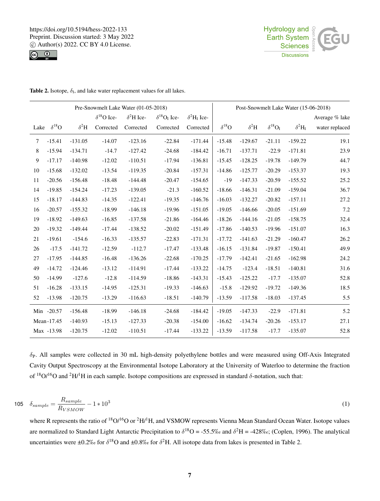



| Pre-Snowmelt Lake Water (01-05-2018) |                 |              |                          |                   |                       |                     | Post-Snowmelt Lake Water (15-06-2018) |              |                        |                |                |
|--------------------------------------|-----------------|--------------|--------------------------|-------------------|-----------------------|---------------------|---------------------------------------|--------------|------------------------|----------------|----------------|
|                                      |                 |              | $\delta^{18} \rm O$ Ice- | $\delta^2$ H Ice- | $\delta^{18}O_I$ Ice- | $\delta^2 H_I$ Ice- |                                       |              |                        |                | Average % lake |
| Lake                                 | $\delta^{18}$ O | $\delta^2$ H | Corrected                | Corrected         | Corrected             | Corrected           | $\delta^{18}$ O                       | $\delta^2 H$ | $\delta^{18}{\rm O_I}$ | $\delta^2 H_I$ | water replaced |
| 7                                    | $-15.41$        | $-131.05$    | $-14.07$                 | $-123.16$         | $-22.84$              | $-171.44$           | $-15.48$                              | $-129.67$    | $-21.11$               | $-159.22$      | 19.1           |
| 8                                    | $-15.94$        | $-134.71$    | $-14.7$                  | $-127.42$         | $-24.68$              | $-184.42$           | $-16.71$                              | $-137.71$    | $-22.9$                | $-171.81$      | 23.9           |
| 9                                    | $-17.17$        | $-140.98$    | $-12.02$                 | $-110.51$         | $-17.94$              | $-136.81$           | $-15.45$                              | $-128.25$    | $-19.78$               | $-149.79$      | 44.7           |
| 10                                   | $-15.68$        | $-132.02$    | $-13.54$                 | $-119.35$         | $-20.84$              | $-157.31$           | $-14.86$                              | $-125.77$    | $-20.29$               | $-153.37$      | 19.3           |
| 11                                   | $-20.56$        | $-156.48$    | $-18.48$                 | $-144.48$         | $-20.47$              | $-154.65$           | $-19$                                 | $-147.33$    | $-20.59$               | $-155.52$      | 25.2           |
| 14                                   | $-19.85$        | $-154.24$    | $-17.23$                 | $-139.05$         | $-21.3$               | $-160.52$           | $-18.66$                              | $-146.31$    | $-21.09$               | $-159.04$      | 36.7           |
| 15                                   | $-18.17$        | $-144.83$    | $-14.35$                 | $-122.41$         | $-19.35$              | $-146.76$           | $-16.03$                              | $-132.27$    | $-20.82$               | $-157.11$      | 27.2           |
| 16                                   | $-20.57$        | $-155.32$    | $-18.99$                 | $-146.18$         | $-19.96$              | $-151.05$           | $-19.05$                              | $-146.66$    | $-20.05$               | $-151.69$      | 7.2            |
| 19                                   | $-18.92$        | $-149.63$    | $-16.85$                 | $-137.58$         | $-21.86$              | $-164.46$           | $-18.26$                              | $-144.16$    | $-21.05$               | $-158.75$      | 32.4           |
| 20                                   | $-19.32$        | $-149.44$    | $-17.44$                 | $-138.52$         | $-20.02$              | $-151.49$           | $-17.86$                              | $-140.53$    | $-19.96$               | $-151.07$      | 16.3           |
| 21                                   | $-19.61$        | $-154.6$     | $-16.33$                 | $-135.57$         | $-22.83$              | $-171.31$           | $-17.72$                              | $-141.63$    | $-21.29$               | $-160.47$      | 26.2           |
| 26                                   | $-17.5$         | $-141.72$    | $-12.59$                 | $-112.7$          | $-17.47$              | $-133.48$           | $-16.15$                              | $-131.84$    | $-19.87$               | $-150.41$      | 49.9           |
| 27                                   | $-17.95$        | $-144.85$    | $-16.48$                 | $-136.26$         | $-22.68$              | $-170.25$           | $-17.79$                              | $-142.41$    | $-21.65$               | $-162.98$      | 24.2           |
| 49                                   | $-14.72$        | $-124.46$    | $-13.12$                 | $-114.91$         | $-17.44$              | $-133.22$           | $-14.75$                              | $-123.4$     | $-18.51$               | $-140.81$      | 31.6           |
| 50                                   | $-14.99$        | $-127.6$     | $-12.8$                  | $-114.59$         | $-18.86$              | $-143.31$           | $-15.43$                              | $-125.22$    | $-17.7$                | $-135.07$      | 52.8           |
| 51                                   | $-16.28$        | $-133.15$    | $-14.95$                 | $-125.31$         | $-19.33$              | $-146.63$           | $-15.8$                               | $-129.92$    | $-19.72$               | $-149.36$      | 18.5           |
| 52                                   | $-13.98$        | $-120.75$    | $-13.29$                 | $-116.63$         | $-18.51$              | $-140.79$           | $-13.59$                              | $-117.58$    | $-18.03$               | $-137.45$      | 5.5            |
|                                      | Min -20.57      | $-156.48$    | $-18.99$                 | $-146.18$         | $-24.68$              | $-184.42$           | $-19.05$                              | $-147.33$    | $-22.9$                | $-171.81$      | 5.2            |
|                                      | Mean-17.45      | $-140.93$    | $-15.13$                 | $-127.33$         | $-20.38$              | $-154.00$           | $-16.62$                              | $-134.74$    | $-20.26$               | $-153.17$      | 27.1           |
|                                      | Max -13.98      | $-120.75$    | $-12.02$                 | $-110.51$         | $-17.44$              | $-133.22$           | $-13.59$                              | $-117.58$    | $-17.7$                | $-135.07$      | 52.8           |

Table 2. Isotope,  $\delta_I$ , and lake water replacement values for all lakes.

 $\delta_P$ . All samples were collected in 30 mL high-density polyethylene bottles and were measured using Off-Axis Integrated Cavity Output Spectroscopy at the Environmental Isotope Laboratory at the University of Waterloo to determine the fraction of  $18O/16O$  and  $2H/1H$  in each sample. Isotope compositions are expressed in standard  $\delta$ -notation, such that:

$$
105 \quad \delta_{sample} = \frac{R_{sample}}{R_{VSMOW}} - 1 \times 10^3 \tag{1}
$$

where R represents the ratio of <sup>18</sup>O/<sup>16</sup>O or <sup>2</sup>H/<sup>1</sup>H, and VSMOW represents Vienna Mean Standard Ocean Water. Isotope values are normalized to Standard Light Antarctic Precipitation to  $\delta^{18}O = -55.5\%$  and  $\delta^2H = -428\%$ ; (Coplen, 1996). The analytical uncertainties were  $\pm 0.2\%$  for  $\delta^{18}$ O and  $\pm 0.8\%$  for  $\delta^2$ H. All isotope data from lakes is presented in Table 2.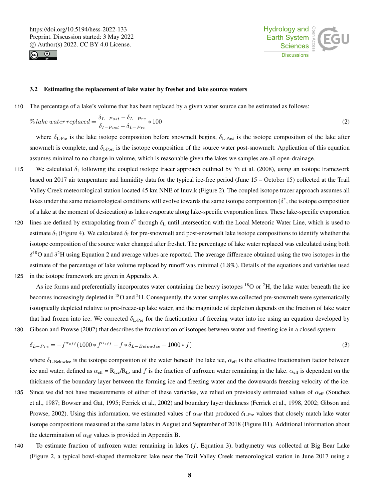



#### 3.2 Estimating the replacement of lake water by freshet and lake source waters

110 The percentage of a lake's volume that has been replaced by a given water source can be estimated as follows:

$$
\% lake water replaced = \frac{\delta_{L-Post} - \delta_{L-Pre}}{\delta_{I-Post} - \delta_{L-Pre}} * 100
$$
\n(2)

where  $\delta_{\text{L-Pre}}$  is the lake isotope composition before snowmelt begins,  $\delta_{\text{L-Post}}$  is the isotope composition of the lake after snowmelt is complete, and  $\delta_{\text{I-Post}}$  is the isotope composition of the source water post-snowmelt. Application of this equation assumes minimal to no change in volume, which is reasonable given the lakes we samples are all open-drainage.

- 115 We calculated  $\delta_I$  following the coupled isotope tracer approach outlined by Yi et al. (2008), using an isotope framework based on 2017 air temperature and humidity data for the typical ice-free period (June 15 – October 15) collected at the Trail Valley Creek meteorological station located 45 km NNE of Inuvik (Figure 2). The coupled isotope tracer approach assumes all lakes under the same meteorological conditions will evolve towards the same isotope composition ( $\delta^*$ , the isotope composition of a lake at the moment of desiccation) as lakes evaporate along lake-specific evaporation lines. These lake-specific evaporation
- 120 lines are defined by extrapolating from  $\delta^*$  through  $\delta_L$  until intersection with the Local Meteoric Water Line, which is used to estimate  $\delta_I$  (Figure 4). We calculated  $\delta_I$  for pre-snowmelt and post-snowmelt lake isotope compositions to identify whether the isotope composition of the source water changed after freshet. The percentage of lake water replaced was calculated using both  $\delta^{18}$ O and  $\delta^2$ H using Equation 2 and average values are reported. The average difference obtained using the two isotopes in the estimate of the percentage of lake volume replaced by runoff was minimal (1.8%). Details of the equations and variables used 125 in the isotope framework are given in Appendix A.
- As ice forms and preferentially incorporates water containing the heavy isotopes  $^{18}$ O or  $^{2}$ H, the lake water beneath the ice becomes increasingly depleted in <sup>18</sup>O and <sup>2</sup>H. Consequently, the water samples we collected pre-snowmelt were systematically isotopically depleted relative to pre-freeze-up lake water, and the magnitude of depletion depends on the fraction of lake water that had frozen into ice. We corrected  $\delta_{L-Pre}$  for the fractionation of freezing water into ice using an equation developed by 130 Gibson and Prowse (2002) that describes the fractionation of isotopes between water and freezing ice in a closed system:
	- $\delta_{L-Pre} = -f^{\alpha_{eff}} (1000 * f^{\alpha_{eff}} f * \delta_{L-BelowIce} 1000 * f)$  (3)

where  $\delta_{\text{L-BelowIce}}$  is the isotope composition of the water beneath the lake ice,  $\alpha_{\text{eff}}$  is the effective fractionation factor between ice and water, defined as  $\alpha_{\text{eff}} = R_{\text{Ice}}/R_L$ , and f is the fraction of unfrozen water remaining in the lake.  $\alpha_{\text{eff}}$  is dependent on the thickness of the boundary layer between the forming ice and freezing water and the downwards freezing velocity of the ice.

- 135 Since we did not have measurements of either of these variables, we relied on previously estimated values of  $\alpha_{\text{eff}}$  (Souchez et al., 1987; Bowser and Gat, 1995; Ferrick et al., 2002) and boundary layer thickness (Ferrick et al., 1998, 2002; Gibson and Prowse, 2002). Using this information, we estimated values of  $\alpha_{\text{eff}}$  that produced  $\delta_{\text{L-Pre}}$  values that closely match lake water isotope compositions measured at the same lakes in August and September of 2018 (Figure B1). Additional information about the determination of  $\alpha_{\text{eff}}$  values is provided in Appendix B.
- 140 To estimate fraction of unfrozen water remaining in lakes  $(f, Equation 3)$ , bathymetry was collected at Big Bear Lake (Figure 2, a typical bowl-shaped thermokarst lake near the Trail Valley Creek meteorological station in June 2017 using a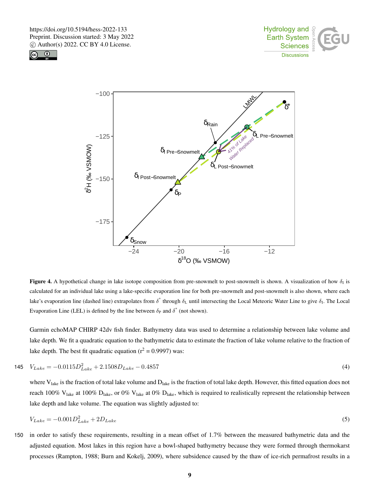





**Figure 4.** A hypothetical change in lake isotope composition from pre-snowmelt to post-snowmelt is shown. A visualization of how  $\delta_I$  is calculated for an individual lake using a lake-specific evaporation line for both pre-snowmelt and post-snowmelt is also shown, where each lake's evaporation line (dashed line) extrapolates from  $\delta^*$  through  $\delta_L$  until intersecting the Local Meteoric Water Line to give  $\delta_I$ . The Local Evaporation Line (LEL) is defined by the line between  $\delta_P$  and  $\delta^*$  (not shown).

Garmin echoMAP CHIRP 42dv fish finder. Bathymetry data was used to determine a relationship between lake volume and lake depth. We fit a quadratic equation to the bathymetric data to estimate the fraction of lake volume relative to the fraction of lake depth. The best fit quadratic equation ( $r^2 = 0.9997$ ) was:

$$
V_{Lake} = -0.0115D_{Lake}^2 + 2.1508D_{Lake} - 0.4857
$$
\n<sup>(4)</sup>

where V<sub>lake</sub> is the fraction of total lake volume and D<sub>lake</sub> is the fraction of total lake depth. However, this fitted equation does not reach 100%  $V_{\text{late}}$  at 100%  $D_{\text{late}}$ , or 0%  $V_{\text{late}}$  at 0%  $D_{\text{late}}$ , which is required to realistically represent the relationship between lake depth and lake volume. The equation was slightly adjusted to:

$$
V_{\text{Lake}} = -0.001D_{\text{Lake}}^2 + 2D_{\text{Lake}} \tag{5}
$$

150 in order to satisfy these requirements, resulting in a mean offset of 1.7% between the measured bathymetric data and the adjusted equation. Most lakes in this region have a bowl-shaped bathymetry because they were formed through thermokarst processes (Rampton, 1988; Burn and Kokelj, 2009), where subsidence caused by the thaw of ice-rich permafrost results in a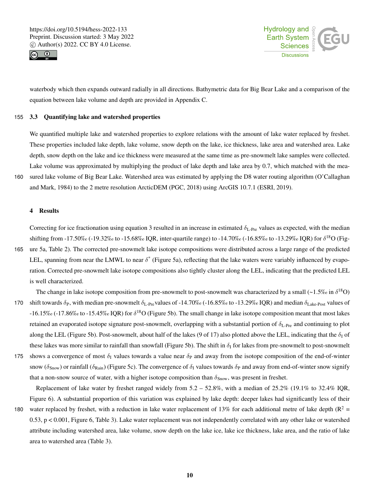



waterbody which then expands outward radially in all directions. Bathymetric data for Big Bear Lake and a comparison of the equation between lake volume and depth are provided in Appendix C.

#### 155 3.3 Quantifying lake and watershed properties

We quantified multiple lake and watershed properties to explore relations with the amount of lake water replaced by freshet. These properties included lake depth, lake volume, snow depth on the lake, ice thickness, lake area and watershed area. Lake depth, snow depth on the lake and ice thickness were measured at the same time as pre-snowmelt lake samples were collected. Lake volume was approximated by multiplying the product of lake depth and lake area by 0.7, which matched with the mea-160 sured lake volume of Big Bear Lake. Watershed area was estimated by applying the D8 water routing algorithm (O'Callaghan and Mark, 1984) to the 2 metre resolution ArcticDEM (PGC, 2018) using ArcGIS 10.7.1 (ESRI, 2019).

#### 4 Results

Correcting for ice fractionation using equation 3 resulted in an increase in estimated  $\delta_{L\text{-Pre}}$  values as expected, with the median shifting from -17.50‰ (-19.32‰ to -15.68‰ IQR, inter-quartile range) to -14.70‰ (-16.85‰ to -13.29‰ IQR) for  $\delta^{18}O$  (Fig-165 ure 5a, Table 2). The corrected pre-snowmelt lake isotope compositions were distributed across a large range of the predicted

LEL, spanning from near the LMWL to near  $\delta^*$  (Figure 5a), reflecting that the lake waters were variably influenced by evaporation. Corrected pre-snowmelt lake isotope compositions also tightly cluster along the LEL, indicating that the predicted LEL is well characterized.

The change in lake isotope composition from pre-snowmelt to post-snowmelt was characterized by a small (~1.5‰ in  $\delta^{18}O$ )

- 170 shift towards  $\delta_P$ , with median pre-snowmelt  $\delta_L$ -Prevalues of -14.70‰ (-16.85‰ to -13.29‰ IQR) and median  $\delta_L$ <sub>ake-Post</sub> values of  $-16.15\%$  ( $-17.86\%$  to  $-15.45\%$  IQR) for  $\delta^{18}O$  (Figure 5b). The small change in lake isotope composition meant that most lakes retained an evaporated isotope signature post-snowmelt, overlapping with a substantial portion of  $\delta_{L-Pre}$  and continuing to plot along the LEL (Figure 5b). Post-snowmelt, about half of the lakes (9 of 17) also plotted above the LEL, indicating that the  $\delta_I$  of these lakes was more similar to rainfall than snowfall (Figure 5b). The shift in  $\delta_I$  for lakes from pre-snowmelt to post-snowmelt
- 175 shows a convergence of most  $\delta_I$  values towards a value near  $\delta_P$  and away from the isotope composition of the end-of-winter snow ( $\delta_{\text{Show}}$ ) or rainfall ( $\delta_{\text{Rain}}$ ) (Figure 5c). The convergence of  $\delta_I$  values towards  $\delta_P$  and away from end-of-winter snow signify that a non-snow source of water, with a higher isotope composition than  $\delta_{Snow}$ , was present in freshet.

Replacement of lake water by freshet ranged widely from  $5.2 - 52.8\%$ , with a median of  $25.2\%$  (19.1% to 32.4% IQR, Figure 6). A substantial proportion of this variation was explained by lake depth: deeper lakes had significantly less of their 180 water replaced by freshet, with a reduction in lake water replacement of 13% for each additional metre of lake depth ( $R^2$  = 0.53, p < 0.001, Figure 6, Table 3). Lake water replacement was not independently correlated with any other lake or watershed attribute including watershed area, lake volume, snow depth on the lake ice, lake ice thickness, lake area, and the ratio of lake area to watershed area (Table 3).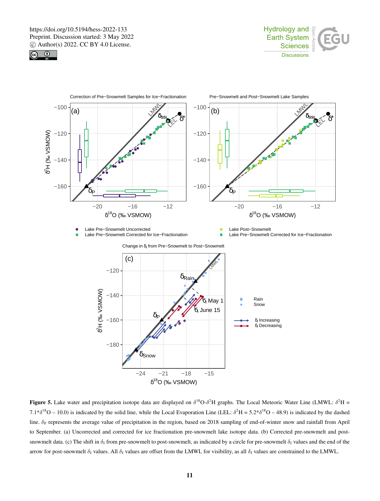





**Figure 5.** Lake water and precipitation isotope data are displayed on  $\delta^{18}O-\delta^2H$  graphs. The Local Meteoric Water Line (LMWL:  $\delta^2H$  =  $7.1* \delta^{18}O - 10.0$ ) is indicated by the solid line, while the Local Evaporation Line (LEL:  $\delta^2H = 5.2* \delta^{18}O - 48.9$ ) is indicated by the dashed line.  $\delta_P$  represents the average value of precipitation in the region, based on 2018 sampling of end-of-winter snow and rainfall from April to September. (a) Uncorrected and corrected for ice fractionation pre-snowmelt lake isotope data. (b) Corrected pre-snowmelt and postsnowmelt data. (c) The shift in  $\delta_I$  from pre-snowmelt to post-snowmelt, as indicated by a circle for pre-snowmelt  $\delta_I$  values and the end of the arrow for post-snowmelt  $\delta_I$  values. All  $\delta_I$  values are offset from the LMWL for visibility, as all  $\delta_I$  values are constrained to the LMWL.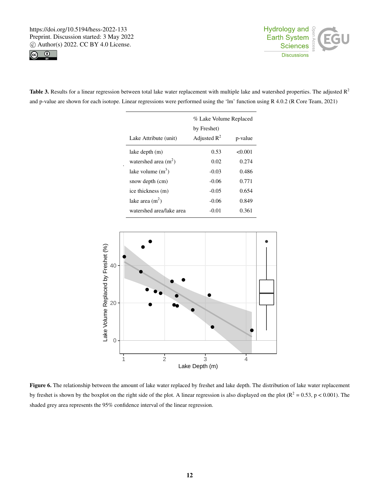.





Table 3. Results for a linear regression between total lake water replacement with multiple lake and watershed properties. The adjusted  $R^2$ and p-value are shown for each isotope. Linear regressions were performed using the 'lm' function using R 4.0.2 (R Core Team, 2021)

|                          | % Lake Volume Replaced<br>by Freshet) |         |  |
|--------------------------|---------------------------------------|---------|--|
| Lake Attribute (unit)    | Adjusted $\mathbb{R}^2$               | p-value |  |
| lake depth (m)           | 0.53                                  | <0.001  |  |
| watershed area $(m2)$    | 0.02                                  | 0.274   |  |
| lake volume $(m^3)$      | $-0.03$                               | 0.486   |  |
| snow depth (cm)          | $-0.06$                               | 0.771   |  |
| ice thickness (m)        | $-0.05$                               | 0.654   |  |
| lake area $(m^2)$        | $-0.06$                               | 0.849   |  |
| watershed area/lake area | -0.01                                 | 0.361   |  |



Figure 6. The relationship between the amount of lake water replaced by freshet and lake depth. The distribution of lake water replacement by freshet is shown by the boxplot on the right side of the plot. A linear regression is also displayed on the plot ( $R^2 = 0.53$ , p < 0.001). The shaded grey area represents the 95% confidence interval of the linear regression.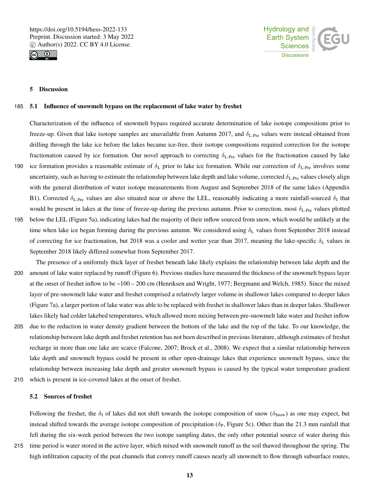



# 5 Discussion

#### 185 5.1 Influence of snowmelt bypass on the replacement of lake water by freshet

Characterization of the influence of snowmelt bypass required accurate determination of lake isotope compositions prior to freeze-up. Given that lake isotope samples are unavailable from Autumn 2017, and  $\delta_{L-Pre}$  values were instead obtained from drilling through the lake ice before the lakes became ice-free, their isotope compositions required correction for the isotope fractionation caused by ice formation. Our novel approach to correcting  $\delta_{\text{L-Pre}}$  values for the fractionation caused by lake 190 ice formation provides a reasonable estimate of  $\delta_{\rm L}$  prior to lake ice formation. While our correction of  $\delta_{\rm L-Pre}$  involves some uncertainty, such as having to estimate the relationship between lake depth and lake volume, corrected  $\delta_{L-Pre}$  values closely align

with the general distribution of water isotope measurements from August and September 2018 of the same lakes (Appendix B1). Corrected  $\delta_{L-Pre}$  values are also situated near or above the LEL, reasonably indicating a more rainfall-sourced  $\delta_I$  that would be present in lakes at the time of freeze-up during the previous autumn. Prior to correction, most  $\delta_{L-Pre}$  values plotted 195 below the LEL (Figure 5a), indicating lakes had the majority of their inflow sourced from snow, which would be unlikely at the time when lake ice began forming during the previous autumn. We considered using  $\delta_L$  values from September 2018 instead

- of correcting for ice fractionation, but 2018 was a cooler and wetter year than 2017, meaning the lake-specific  $\delta_L$  values in September 2018 likely differed somewhat from September 2017. The presence of a uniformly thick layer of freshet beneath lake likely explains the relationship between lake depth and the 200 amount of lake water replaced by runoff (Figure 6). Previous studies have measured the thickness of the snowmelt bypass layer
- at the onset of freshet inflow to be ~100 200 cm (Henriksen and Wright, 1977; Bergmann and Welch, 1985). Since the mixed layer of pre-snowmelt lake water and freshet comprised a relatively larger volume in shallower lakes compared to deeper lakes (Figure 7a), a larger portion of lake water was able to be replaced with freshet in shallower lakes than in deeper lakes. Shallower lakes likely had colder lakebed temperatures, which allowed more mixing between pre-snowmelt lake water and freshet inflow 205 due to the reduction in water density gradient between the bottom of the lake and the top of the lake. To our knowledge, the relationship between lake depth and freshet retention has not been described in previous literature, although estimates of freshet recharge in more than one lake are scarce (Falcone, 2007; Brock et al., 2008). We expect that a similar relationship between lake depth and snowmelt bypass could be present in other open-drainage lakes that experience snowmelt bypass, since the
- 210 which is present in ice-covered lakes at the onset of freshet.

#### 5.2 Sources of freshet

Following the freshet, the  $\delta_I$  of lakes did not shift towards the isotope composition of snow ( $\delta_{\text{Snow}}$ ) as one may expect, but instead shifted towards the average isotope composition of precipitation ( $\delta_P$ , Figure 5c). Other than the 21.3 mm rainfall that fell during the six-week period between the two isotope sampling dates, the only other potential source of water during this

relationship between increasing lake depth and greater snowmelt bypass is caused by the typical water temperature gradient

215 time period is water stored in the active layer, which mixed with snowmelt runoff as the soil thawed throughout the spring. The high infiltration capacity of the peat channels that convey runoff causes nearly all snowmelt to flow through subsurface routes,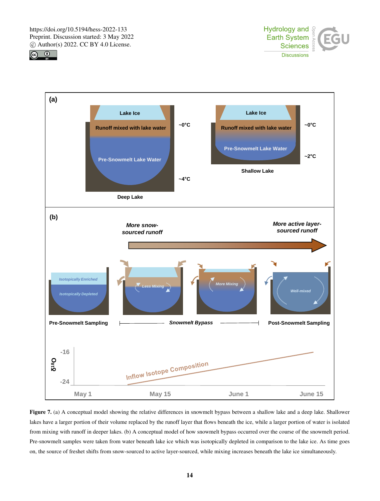





Figure 7. (a) A conceptual model showing the relative differences in snowmelt bypass between a shallow lake and a deep lake. Shallower lakes have a larger portion of their volume replaced by the runoff layer that flows beneath the ice, while a larger portion of water is isolated from mixing with runoff in deeper lakes. (b) A conceptual model of how snowmelt bypass occurred over the course of the snowmelt period. Pre-snowmelt samples were taken from water beneath lake ice which was isotopically depleted in comparison to the lake ice. As time goes on, the source of freshet shifts from snow-sourced to active layer-sourced, while mixing increases beneath the lake ice simultaneously.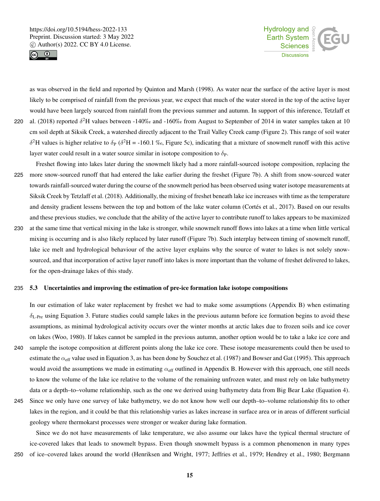



as was observed in the field and reported by Quinton and Marsh (1998). As water near the surface of the active layer is most likely to be comprised of rainfall from the previous year, we expect that much of the water stored in the top of the active layer would have been largely sourced from rainfall from the previous summer and autumn. In support of this inference, Tetzlaff et 220 al. (2018) reported  $\delta^2$ H values between -140‰ and -160‰ from August to September of 2014 in water samples taken at 10 cm soil depth at Siksik Creek, a watershed directly adjacent to the Trail Valley Creek camp (Figure 2). This range of soil water  $\delta^2$ H values is higher relative to  $\delta_P$  ( $\delta^2$ H = -160.1 ‰, Figure 5c), indicating that a mixture of snowmelt runoff with this active layer water could result in a water source similar in isotope composition to  $\delta_{P}$ .

- Freshet flowing into lakes later during the snowmelt likely had a more rainfall-sourced isotope composition, replacing the 225 more snow-sourced runoff that had entered the lake earlier during the freshet (Figure 7b). A shift from snow-sourced water towards rainfall-sourced water during the course of the snowmelt period has been observed using water isotope measurements at Siksik Creek by Tetzlaff et al. (2018). Additionally, the mixing of freshet beneath lake ice increases with time as the temperature and density gradient lessens between the top and bottom of the lake water column (Cortés et al., 2017). Based on our results and these previous studies, we conclude that the ability of the active layer to contribute runoff to lakes appears to be maximized
- 230 at the same time that vertical mixing in the lake is stronger, while snowmelt runoff flows into lakes at a time when little vertical mixing is occurring and is also likely replaced by later runoff (Figure 7b). Such interplay between timing of snowmelt runoff, lake ice melt and hydrological behaviour of the active layer explains why the source of water to lakes is not solely snowsourced, and that incorporation of active layer runoff into lakes is more important than the volume of freshet delivered to lakes, for the open-drainage lakes of this study.

#### 235 5.3 Uncertainties and improving the estimation of pre-ice formation lake isotope compositions

In our estimation of lake water replacement by freshet we had to make some assumptions (Appendix B) when estimating  $\delta_{\text{L-Pre}}$  using Equation 3. Future studies could sample lakes in the previous autumn before ice formation begins to avoid these assumptions, as minimal hydrological activity occurs over the winter months at arctic lakes due to frozen soils and ice cover on lakes (Woo, 1980). If lakes cannot be sampled in the previous autumn, another option would be to take a lake ice core and 240 sample the isotope composition at different points along the lake ice core. These isotope measurements could then be used to estimate the  $\alpha_{\text{eff}}$  value used in Equation 3, as has been done by Souchez et al. (1987) and Bowser and Gat (1995). This approach would avoid the assumptions we made in estimating  $\alpha_{\text{eff}}$  outlined in Appendix B. However with this approach, one still needs to know the volume of the lake ice relative to the volume of the remaining unfrozen water, and must rely on lake bathymetry data or a depth–to–volume relationship, such as the one we derived using bathymetry data from Big Bear Lake (Equation 4).

245 Since we only have one survey of lake bathymetry, we do not know how well our depth–to–volume relationship fits to other lakes in the region, and it could be that this relationship varies as lakes increase in surface area or in areas of different surficial geology where thermokarst processes were stronger or weaker during lake formation.

Since we do not have measurements of lake temperature, we also assume our lakes have the typical thermal structure of ice-covered lakes that leads to snowmelt bypass. Even though snowmelt bypass is a common phenomenon in many types 250 of ice–covered lakes around the world (Henriksen and Wright, 1977; Jeffries et al., 1979; Hendrey et al., 1980; Bergmann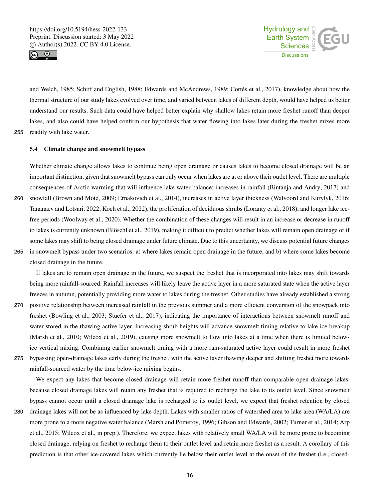



and Welch, 1985; Schiff and English, 1988; Edwards and McAndrews, 1989; Cortés et al., 2017), knowledge about how the thermal structure of our study lakes evolved over time, and varied between lakes of different depth, would have helped us better understand our results. Such data could have helped better explain why shallow lakes retain more freshet runoff than deeper lakes, and also could have helped confirm our hypothesis that water flowing into lakes later during the freshet mixes more 255 readily with lake water.

# 5.4 Climate change and snowmelt bypass

Whether climate change allows lakes to continue being open drainage or causes lakes to become closed drainage will be an important distinction, given that snowmelt bypass can only occur when lakes are at or above their outlet level. There are multiple consequences of Arctic warming that will influence lake water balance: increases in rainfall (Bintanja and Andry, 2017) and 260 snowfall (Brown and Mote, 2009; Ernakovich et al., 2014), increases in active layer thickness (Walvoord and Kurylyk, 2016; Tananaev and Lotsari, 2022; Koch et al., 2022), the proliferation of deciduous shrubs (Loranty et al., 2018), and longer lake icefree periods (Woolway et al., 2020). Whether the combination of these changes will result in an increase or decrease in runoff to lakes is currently unknown (Blöschl et al., 2019), making it difficult to predict whether lakes will remain open drainage or if some lakes may shift to being closed drainage under future climate. Due to this uncertainty, we discuss potential future changes

265 in snowmelt bypass under two scenarios: a) where lakes remain open drainage in the future, and b) where some lakes become closed drainage in the future.

If lakes are to remain open drainage in the future, we suspect the freshet that is incorporated into lakes may shift towards being more rainfall-sourced. Rainfall increases will likely leave the active layer in a more saturated state when the active layer freezes in autumn, potentially providing more water to lakes during the freshet. Other studies have already established a strong

- 270 positive relationship between increased rainfall in the previous summer and a more efficient conversion of the snowpack into freshet (Bowling et al., 2003; Stuefer et al., 2017), indicating the importance of interactions between snowmelt runoff and water stored in the thawing active layer. Increasing shrub heights will advance snowmelt timing relative to lake ice breakup (Marsh et al., 2010; Wilcox et al., 2019), causing more snowmelt to flow into lakes at a time when there is limited belowice vertical mixing. Combining earlier snowmelt timing with a more rain-saturated active layer could result in more freshet
- 275 bypassing open-drainage lakes early during the freshet, with the active layer thawing deeper and shifting freshet more towards rainfall-sourced water by the time below-ice mixing begins.

We expect any lakes that become closed drainage will retain more freshet runoff than comparable open drainage lakes, because closed drainage lakes will retain any freshet that is required to recharge the lake to its outlet level. Since snowmelt bypass cannot occur until a closed drainage lake is recharged to its outlet level, we expect that freshet retention by closed

280 drainage lakes will not be as influenced by lake depth. Lakes with smaller ratios of watershed area to lake area (WA/LA) are more prone to a more negative water balance (Marsh and Pomeroy, 1996; Gibson and Edwards, 2002; Turner et al., 2014; Arp et al., 2015; Wilcox et al., in prep.). Therefore, we expect lakes with relatively small WA/LA will be more prone to becoming closed drainage, relying on freshet to recharge them to their outlet level and retain more freshet as a result. A corollary of this prediction is that other ice-covered lakes which currently lie below their outlet level at the onset of the freshet (i.e., closed-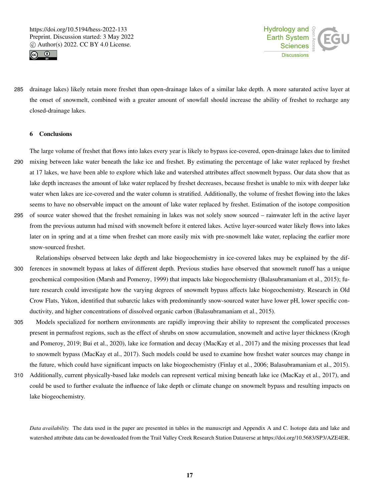



285 drainage lakes) likely retain more freshet than open-drainage lakes of a similar lake depth. A more saturated active layer at the onset of snowmelt, combined with a greater amount of snowfall should increase the ability of freshet to recharge any closed-drainage lakes.

# 6 Conclusions

- The large volume of freshet that flows into lakes every year is likely to bypass ice-covered, open-drainage lakes due to limited 290 mixing between lake water beneath the lake ice and freshet. By estimating the percentage of lake water replaced by freshet at 17 lakes, we have been able to explore which lake and watershed attributes affect snowmelt bypass. Our data show that as lake depth increases the amount of lake water replaced by freshet decreases, because freshet is unable to mix with deeper lake water when lakes are ice-covered and the water column is stratified. Additionally, the volume of freshet flowing into the lakes seems to have no observable impact on the amount of lake water replaced by freshet. Estimation of the isotope composition
- 295 of source water showed that the freshet remaining in lakes was not solely snow sourced rainwater left in the active layer from the previous autumn had mixed with snowmelt before it entered lakes. Active layer-sourced water likely flows into lakes later on in spring and at a time when freshet can more easily mix with pre-snowmelt lake water, replacing the earlier more snow-sourced freshet.
- Relationships observed between lake depth and lake biogeochemistry in ice-covered lakes may be explained by the dif-300 ferences in snowmelt bypass at lakes of different depth. Previous studies have observed that snowmelt runoff has a unique geochemical composition (Marsh and Pomeroy, 1999) that impacts lake biogeochemistry (Balasubramaniam et al., 2015); future research could investigate how the varying degrees of snowmelt bypass affects lake biogeochemistry. Research in Old Crow Flats, Yukon, identified that subarctic lakes with predominantly snow-sourced water have lower pH, lower specific conductivity, and higher concentrations of dissolved organic carbon (Balasubramaniam et al., 2015).
- 305 Models specialized for northern environments are rapidly improving their ability to represent the complicated processes present in permafrost regions, such as the effect of shrubs on snow accumulation, snowmelt and active layer thickness (Krogh and Pomeroy, 2019; Bui et al., 2020), lake ice formation and decay (MacKay et al., 2017) and the mixing processes that lead to snowmelt bypass (MacKay et al., 2017). Such models could be used to examine how freshet water sources may change in the future, which could have significant impacts on lake biogeochemistry (Finlay et al., 2006; Balasubramaniam et al., 2015).
- 310 Additionally, current physically-based lake models can represent vertical mixing beneath lake ice (MacKay et al., 2017), and could be used to further evaluate the influence of lake depth or climate change on snowmelt bypass and resulting impacts on lake biogeochemistry.

*Data availability.* The data used in the paper are presented in tables in the manuscript and Appendix A and C. Isotope data and lake and watershed attribute data can be downloaded from the Trail Valley Creek Research Station Dataverse at https://doi.org/10.5683/SP3/AZE4ER.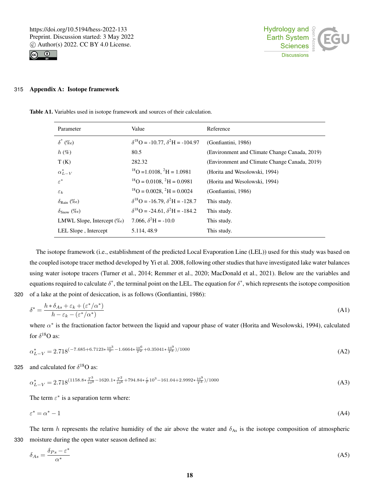



#### 315 Appendix A: Isotope framework

| Parameter                      | Value                                            | Reference                                     |
|--------------------------------|--------------------------------------------------|-----------------------------------------------|
| $\delta^*(\%_0)$               | $\delta^{18}$ O = -10.77, $\delta^2$ H = -104.97 | (Gonfiantini, 1986)                           |
| $h(\%)$                        | 80.5                                             | (Environment and Climate Change Canada, 2019) |
| T(K)                           | 282.32                                           | (Environment and Climate Change Canada, 2019) |
| $\alpha_{L-V}^*$               | $^{18}$ O = 1.0108, $^{2}$ H = 1.0981            | (Horita and Wesolowski, 1994)                 |
| $\varepsilon^*$                | $^{18}$ O = 0.0108, $^{2}$ H = 0.0981            | (Horita and Wesolowski, 1994)                 |
| $\varepsilon_k$                | $^{18}$ O = 0.0028, $^{2}$ H = 0.0024            | (Gonfiantini, 1986)                           |
| $\delta_{\text{Rain}} (\%o)$   | $\delta^{18}$ O = -16.79, $\delta^2$ H = -128.7  | This study.                                   |
| $\delta_{\text{Show}}(\%o)$    | $\delta^{18}$ O = -24.61, $\delta^2$ H = -184.2  | This study.                                   |
| LMWL Slope, Intercept $(\%_0)$ | 7.066, $\delta^2$ H = -10.0                      | This study.                                   |
| LEL Slope, Intercept           | 5.114, 48.9                                      | This study.                                   |

Table A1. Variables used in isotope framework and sources of their calculation.

The isotope framework (i.e., establishment of the predicted Local Evaporation Line (LEL)) used for this study was based on the coupled isotope tracer method developed by Yi et al. 2008, following other studies that have investigated lake water balances using water isotope tracers (Turner et al., 2014; Remmer et al., 2020; MacDonald et al., 2021). Below are the variables and equations required to calculate  $\delta^*$ , the terminal point on the LEL. The equation for  $\delta^*$ , which represents the isotope composition 320 of a lake at the point of desiccation, is as follows (Gonfiantini, 1986):

 $\delta^* = \frac{h * \delta_{As} + \varepsilon_k + (\varepsilon^*/\alpha^*)}{h}$  $h-\varepsilon_k-(\varepsilon^*/\alpha^*)$ (A1)

where  $\alpha^*$  is the fractionation factor between the liquid and vapour phase of water (Horita and Wesolowski, 1994), calculated for  $\delta^{18}$ O as:

$$
\alpha_{L-V}^* = 2.718^{(-7.685 + 6.7123 \times \frac{10^3}{T} - 1.6664 \times \frac{10^6}{T^2} + 0.35041 \times \frac{10^9}{T^3})/1000}
$$
(A2)

325 and calculated for  $\delta^{18}$ O as:

$$
\alpha_{L-V}^* = 2.718^{(1158.8 * \frac{T^3}{10^9} - 1620.1 * \frac{T^2}{10^6} + 794.84 * \frac{(}{T}10^3 - 161.04 + 2.9992 * \frac{10^9}{T^3})/1000}
$$
(A3)

The term  $\varepsilon^*$  is a separation term where:

$$
\varepsilon^* = \alpha^* - 1 \tag{A4}
$$

The term h represents the relative humidity of the air above the water and  $\delta_{As}$  is the isotope composition of atmospheric 330 moisture during the open water season defined as:

$$
\delta_{As} = \frac{\delta_{Ps} - \varepsilon^*}{\alpha^*} \tag{A5}
$$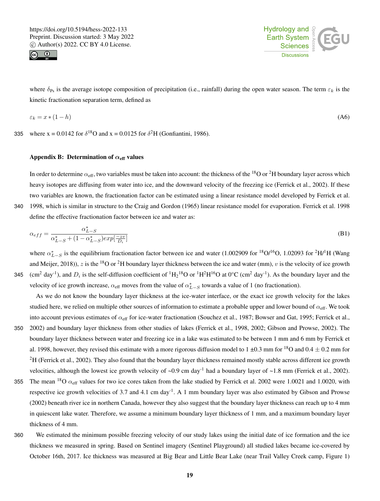



where  $\delta_{\text{Ps}}$  is the average isotope composition of precipitation (i.e., rainfall) during the open water season. The term  $\varepsilon_k$  is the kinetic fractionation separation term, defined as

$$
\varepsilon_k = x * (1 - h) \tag{A6}
$$

335 where x = 0.0142 for  $\delta^{18}$ O and x = 0.0125 for  $\delta^2$ H (Gonfiantini, 1986).

# Appendix B: Determination of  $\alpha_{\text{eff}}$  values

In order to determine  $\alpha_{\text{eff}}$ , two variables must be taken into account: the thickness of the <sup>18</sup>O or <sup>2</sup>H boundary layer across which heavy isotopes are diffusing from water into ice, and the downward velocity of the freezing ice (Ferrick et al., 2002). If these two variables are known, the fractionation factor can be estimated using a linear resistance model developed by Ferrick et al. 340 1998, which is similar in structure to the Craig and Gordon (1965) linear resistance model for evaporation. Ferrick et al. 1998 define the effective fractionation factor between ice and water as:

$$
\alpha_{eff} = \frac{\alpha_{L-S}^*}{\alpha_{L-S}^* + (1 - \alpha_{L-S}^*)exp[\frac{-zv}{D_i}]} \tag{B1}
$$

where  $\alpha_{L-S}^*$  is the equilibrium fractionation factor between ice and water (1.002909 for <sup>18</sup>O/<sup>16</sup>O, 1.02093 for <sup>2</sup>H/<sup>1</sup>H (Wang and Meijer, 2018)), z is the <sup>18</sup>O or <sup>2</sup>H boundary layer thickness between the ice and water (mm), v is the velocity of ice growth 345 (cm<sup>2</sup> day<sup>-1</sup>), and  $D_i$  is the self-diffusion coefficient of <sup>1</sup>H<sub>2</sub><sup>18</sup>O or <sup>1</sup>H<sup>2</sup>H<sup>16</sup>O at 0°C (cm<sup>2</sup> day<sup>-1</sup>). As the boundary layer and the velocity of ice growth increase,  $\alpha_{\text{eff}}$  moves from the value of  $\alpha_{L-S}^*$  towards a value of 1 (no fractionation).

As we do not know the boundary layer thickness at the ice-water interface, or the exact ice growth velocity for the lakes studied here, we relied on multiple other sources of information to estimate a probable upper and lower bound of  $\alpha_{\rm eff}$ . We took into account previous estimates of αeff for ice-water fractionation (Souchez et al., 1987; Bowser and Gat, 1995; Ferrick et al., 350 2002) and boundary layer thickness from other studies of lakes (Ferrick et al., 1998, 2002; Gibson and Prowse, 2002). The boundary layer thickness between water and freezing ice in a lake was estimated to be between 1 mm and 6 mm by Ferrick et al. 1998, however, they revised this estimate with a more rigorous diffusion model to 1  $\pm$ 0.3 mm for <sup>18</sup>O and 0.4  $\pm$  0.2 mm for <sup>2</sup>H (Ferrick et al., 2002). They also found that the boundary layer thickness remained mostly stable across different ice growth velocities, although the lowest ice growth velocity of  $\sim 0.9$  cm day<sup>-1</sup> had a boundary layer of  $\sim 1.8$  mm (Ferrick et al., 2002). 355 The mean <sup>18</sup>O  $\alpha_{\text{eff}}$  values for two ice cores taken from the lake studied by Ferrick et al. 2002 were 1.0021 and 1.0020, with

- respective ice growth velocities of 3.7 and 4.1 cm day-1. A 1 mm boundary layer was also estimated by Gibson and Prowse (2002) beneath river ice in northern Canada, however they also suggest that the boundary layer thickness can reach up to 4 mm in quiescent lake water. Therefore, we assume a minimum boundary layer thickness of 1 mm, and a maximum boundary layer thickness of 4 mm.
- 360 We estimated the minimum possible freezing velocity of our study lakes using the initial date of ice formation and the ice thickness we measured in spring. Based on Sentinel imagery (Sentinel Playground) all studied lakes became ice-covered by October 16th, 2017. Ice thickness was measured at Big Bear and Little Bear Lake (near Trail Valley Creek camp, Figure 1)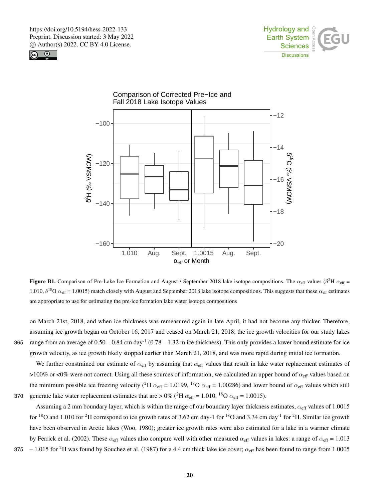





**Figure B1.** Comparison of Pre-Lake Ice Formation and August / September 2018 lake isotope compositions. The  $\alpha_{\rm eff}$  values ( $\delta^2$ H  $\alpha_{\rm eff}$ ) 1.010,  $\delta^{18}$ O  $\alpha_{\text{eff}}$  = 1.0015) match closely with August and September 2018 lake isotope compositions. This suggests that these  $\alpha_{\text{eff}}$  estimates are appropriate to use for estimating the pre-ice formation lake water isotope compositions

on March 21st, 2018, and when ice thickness was remeasured again in late April, it had not become any thicker. Therefore, assuming ice growth began on October 16, 2017 and ceased on March 21, 2018, the ice growth velocities for our study lakes 365 range from an average of  $0.50 - 0.84$  cm day<sup>-1</sup> (0.78 – 1.32 m ice thickness). This only provides a lower bound estimate for ice growth velocity, as ice growth likely stopped earlier than March 21, 2018, and was more rapid during initial ice formation.

We further constrained our estimate of  $\alpha_{\text{eff}}$  by assuming that  $\alpha_{\text{eff}}$  values that result in lake water replacement estimates of >100% or <0% were not correct. Using all these sources of information, we calculated an upper bound of  $\alpha_{\rm eff}$  values based on the minimum possible ice freezing velocity (<sup>2</sup>H  $\alpha_{\text{eff}}$  = 1.0199, <sup>18</sup>O  $\alpha_{\text{eff}}$  = 1.00286) and lower bound of  $\alpha_{\text{eff}}$  values which still 370 generate lake water replacement estimates that are  $> 0\%$  (<sup>2</sup>H  $\alpha_{\text{eff}} = 1.010$ , <sup>18</sup>O  $\alpha_{\text{eff}} = 1.0015$ ).

Assuming a 2 mm boundary layer, which is within the range of our boundary layer thickness estimates,  $\alpha_{\text{eff}}$  values of 1.0015 for <sup>18</sup>O and 1.010 for <sup>2</sup>H correspond to ice growth rates of 3.62 cm day-1 for <sup>18</sup>O and 3.34 cm day<sup>-1</sup> for <sup>2</sup>H. Similar ice growth have been observed in Arctic lakes (Woo, 1980); greater ice growth rates were also estimated for a lake in a warmer climate by Ferrick et al. (2002). These  $\alpha_{\text{eff}}$  values also compare well with other measured  $\alpha_{\text{eff}}$  values in lakes: a range of  $\alpha_{\text{eff}} = 1.013$ 

375  $-1.015$  for <sup>2</sup>H was found by Souchez et al. (1987) for a 4.4 cm thick lake ice cover;  $\alpha_{\text{eff}}$  has been found to range from 1.0005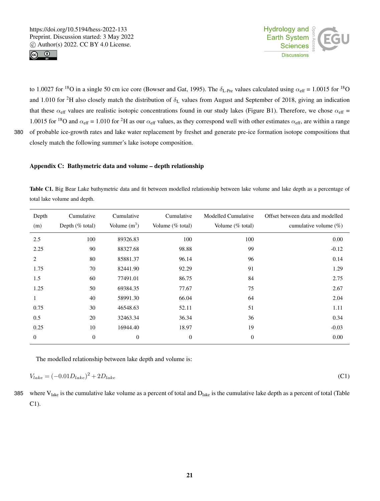



to 1.0027 for <sup>18</sup>O in a single 50 cm ice core (Bowser and Gat, 1995). The  $\delta_{\text{L-Pre}}$  values calculated using  $\alpha_{\text{eff}} = 1.0015$  for <sup>18</sup>O and 1.010 for <sup>2</sup>H also closely match the distribution of  $\delta_L$  values from August and September of 2018, giving an indication that these  $\alpha_{\text{eff}}$  values are realistic isotopic concentrations found in our study lakes (Figure B1). Therefore, we chose  $\alpha_{\text{eff}}$  = 1.0015 for <sup>18</sup>O and  $\alpha_{\text{eff}}$  = 1.010 for <sup>2</sup>H as our  $\alpha_{\text{eff}}$  values, as they correspond well with other estimates  $\alpha_{\text{eff}}$ , are within a range 380 of probable ice-growth rates and lake water replacement by freshet and generate pre-ice formation isotope compositions that closely match the following summer's lake isotope composition.

#### Appendix C: Bathymetric data and volume – depth relationship

Table C1. Big Bear Lake bathymetric data and fit between modelled relationship between lake volume and lake depth as a percentage of total lake volume and depth.

| Depth<br>(m)   | Cumulative<br>Depth $(\%$ total) | Cumulative<br>Volume $(m^3)$ | Cumulative<br>Volume $(\%$ total) | Modelled Cumulative<br>Volume $(\%$ total) | Offset between data and modelled<br>cumulative volume (%) |
|----------------|----------------------------------|------------------------------|-----------------------------------|--------------------------------------------|-----------------------------------------------------------|
|                |                                  |                              |                                   |                                            |                                                           |
| 2.5            | 100                              | 89326.83                     | 100                               | 100                                        | 0.00                                                      |
| 2.25           | 90                               | 88327.68                     | 98.88                             | 99                                         | $-0.12$                                                   |
| 2              | 80                               | 85881.37                     | 96.14                             | 96                                         | 0.14                                                      |
| 1.75           | 70                               | 82441.90                     | 92.29                             | 91                                         | 1.29                                                      |
| 1.5            | 60                               | 77491.01                     | 86.75                             | 84                                         | 2.75                                                      |
| 1.25           | 50                               | 69384.35                     | 77.67                             | 75                                         | 2.67                                                      |
|                | 40                               | 58991.30                     | 66.04                             | 64                                         | 2.04                                                      |
| 0.75           | 30                               | 46548.63                     | 52.11                             | 51                                         | 1.11                                                      |
| 0.5            | 20                               | 32463.34                     | 36.34                             | 36                                         | 0.34                                                      |
| 0.25           | 10                               | 16944.40                     | 18.97                             | 19                                         | $-0.03$                                                   |
| $\overline{0}$ | $\mathbf{0}$                     | $\boldsymbol{0}$             | $\boldsymbol{0}$                  | $\mathbf{0}$                               | 0.00                                                      |

The modelled relationship between lake depth and volume is:

$$
V_{lake} = (-0.01D_{lake})^2 + 2D_{lake}
$$
 (C1)

385 where  $V_{\text{late}}$  is the cumulative lake volume as a percent of total and  $D_{\text{late}}$  is the cumulative lake depth as a percent of total (Table C1).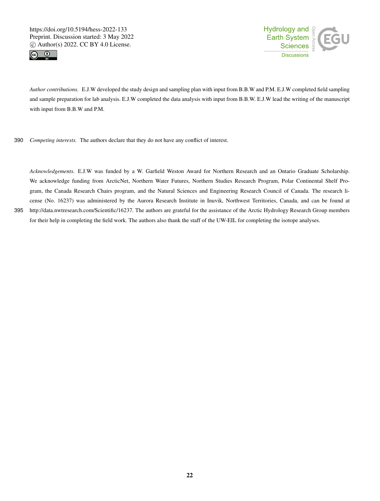



*Author contributions.* E.J.W developed the study design and sampling plan with input from B.B.W and P.M. E.J.W completed field sampling and sample preparation for lab analysis. E.J.W completed the data analysis with input from B.B.W. E.J.W lead the writing of the manuscript with input from B.B.W and P.M.

390 *Competing interests.* The authors declare that they do not have any conflict of interest.

*Acknowledgements.* E.J.W was funded by a W. Garfield Weston Award for Northern Research and an Ontario Graduate Scholarship. We acknowledge funding from ArcticNet, Northern Water Futures, Northern Studies Research Program, Polar Continental Shelf Program, the Canada Research Chairs program, and the Natural Sciences and Engineering Research Council of Canada. The research license (No. 16237) was administered by the Aurora Research Institute in Inuvik, Northwest Territories, Canada, and can be found at 395 http://data.nwtresearch.com/Scientific/16237. The authors are grateful for the assistance of the Arctic Hydrology Research Group members for their help in completing the field work. The authors also thank the staff of the UW-EIL for completing the isotope analyses.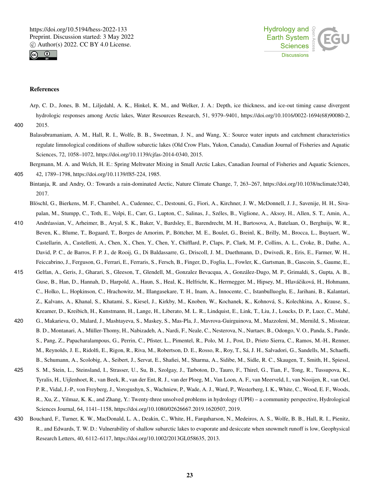



#### References

- Arp, C. D., Jones, B. M., Liljedahl, A. K., Hinkel, K. M., and Welker, J. A.: Depth, ice thickness, and ice-out timing cause divergent hydrologic responses among Arctic lakes, Water Resources Research, 51, 9379–9401, https://doi.org/10.1016/0022-1694(68)90080-2, 400 2015.
- - Balasubramaniam, A. M., Hall, R. I., Wolfe, B. B., Sweetman, J. N., and Wang, X.: Source water inputs and catchment characteristics regulate limnological conditions of shallow subarctic lakes (Old Crow Flats, Yukon, Canada), Canadian Journal of Fisheries and Aquatic Sciences, 72, 1058–1072, https://doi.org/10.1139/cjfas-2014-0340, 2015.
- Bergmann, M. A. and Welch, H. E.: Spring Meltwater Mixing in Small Arctic Lakes, Canadian Journal of Fisheries and Aquatic Sciences, 405 42, 1789–1798, https://doi.org/10.1139/f85-224, 1985.
	- Bintanja, R. and Andry, O.: Towards a rain-dominated Arctic, Nature Climate Change, 7, 263–267, https://doi.org/10.1038/nclimate3240, 2017.
	- Blöschl, G., Bierkens, M. F., Chambel, A., Cudennec, C., Destouni, G., Fiori, A., Kirchner, J. W., McDonnell, J. J., Savenije, H. H., Sivapalan, M., Stumpp, C., Toth, E., Volpi, E., Carr, G., Lupton, C., Salinas, J., Széles, B., Viglione, A., Aksoy, H., Allen, S. T., Amin, A.,
- 410 Andréassian, V., Arheimer, B., Aryal, S. K., Baker, V., Bardsley, E., Barendrecht, M. H., Bartosova, A., Batelaan, O., Berghuijs, W. R., Beven, K., Blume, T., Bogaard, T., Borges de Amorim, P., Böttcher, M. E., Boulet, G., Breinl, K., Brilly, M., Brocca, L., Buytaert, W., Castellarin, A., Castelletti, A., Chen, X., Chen, Y., Chen, Y., Chifflard, P., Claps, P., Clark, M. P., Collins, A. L., Croke, B., Dathe, A., David, P. C., de Barros, F. P. J., de Rooij, G., Di Baldassarre, G., Driscoll, J. M., Duethmann, D., Dwivedi, R., Eris, E., Farmer, W. H., Feiccabrino, J., Ferguson, G., Ferrari, E., Ferraris, S., Fersch, B., Finger, D., Foglia, L., Fowler, K., Gartsman, B., Gascoin, S., Gaume, E.,
- 415 Gelfan, A., Geris, J., Gharari, S., Gleeson, T., Glendell, M., Gonzalez Bevacqua, A., González-Dugo, M. P., Grimaldi, S., Gupta, A. B., Guse, B., Han, D., Hannah, D., Harpold, A., Haun, S., Heal, K., Helfricht, K., Herrnegger, M., Hipsey, M., Hlaváčiková, H., Hohmann, C., Holko, L., Hopkinson, C., Hrachowitz, M., Illangasekare, T. H., Inam, A., Innocente, C., Istanbulluoglu, E., Jarihani, B., Kalantari, Z., Kalvans, A., Khanal, S., Khatami, S., Kiesel, J., Kirkby, M., Knoben, W., Kochanek, K., Kohnová, S., Kolechkina, A., Krause, S., Kreamer, D., Kreibich, H., Kunstmann, H., Lange, H., Liberato, M. L. R., Lindquist, E., Link, T., Liu, J., Loucks, D. P., Luce, C., Mahé,
- 420 G., Makarieva, O., Malard, J., Mashtayeva, S., Maskey, S., Mas-Pla, J., Mavrova-Guirguinova, M., Mazzoleni, M., Mernild, S., Misstear, B. D., Montanari, A., Müller-Thomy, H., Nabizadeh, A., Nardi, F., Neale, C., Nesterova, N., Nurtaev, B., Odongo, V. O., Panda, S., Pande, S., Pang, Z., Papacharalampous, G., Perrin, C., Pfister, L., Pimentel, R., Polo, M. J., Post, D., Prieto Sierra, C., Ramos, M.-H., Renner, M., Reynolds, J. E., Ridolfi, E., Rigon, R., Riva, M., Robertson, D. E., Rosso, R., Roy, T., Sá, J. H., Salvadori, G., Sandells, M., Schaefli, B., Schumann, A., Scolobig, A., Seibert, J., Servat, E., Shafiei, M., Sharma, A., Sidibe, M., Sidle, R. C., Skaugen, T., Smith, H., Spiessl,
- 425 S. M., Stein, L., Steinsland, I., Strasser, U., Su, B., Szolgay, J., Tarboton, D., Tauro, F., Thirel, G., Tian, F., Tong, R., Tussupova, K., Tyralis, H., Uijlenhoet, R., van Beek, R., van der Ent, R. J., van der Ploeg, M., Van Loon, A. F., van Meerveld, I., van Nooijen, R., van Oel, P. R., Vidal, J.-P., von Freyberg, J., Vorogushyn, S., Wachniew, P., Wade, A. J., Ward, P., Westerberg, I. K., White, C., Wood, E. F., Woods, R., Xu, Z., Yilmaz, K. K., and Zhang, Y.: Twenty-three unsolved problems in hydrology (UPH) – a community perspective, Hydrological Sciences Journal, 64, 1141–1158, https://doi.org/10.1080/02626667.2019.1620507, 2019.
- 430 Bouchard, F., Turner, K. W., MacDonald, L. A., Deakin, C., White, H., Farquharson, N., Medeiros, A. S., Wolfe, B. B., Hall, R. I., Pienitz, R., and Edwards, T. W. D.: Vulnerability of shallow subarctic lakes to evaporate and desiccate when snowmelt runoff is low, Geophysical Research Letters, 40, 6112–6117, https://doi.org/10.1002/2013GL058635, 2013.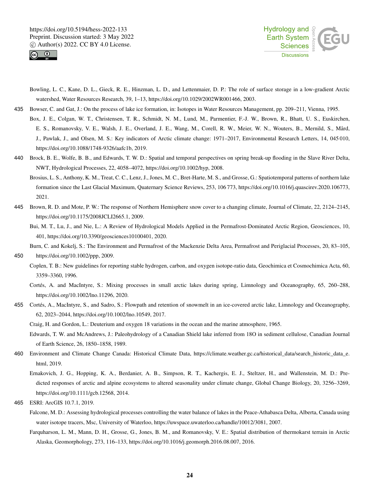



- Bowling, L. C., Kane, D. L., Gieck, R. E., Hinzman, L. D., and Lettenmaier, D. P.: The role of surface storage in a low-gradient Arctic watershed, Water Resources Research, 39, 1–13, https://doi.org/10.1029/2002WR001466, 2003.
- 435 Bowser, C. and Gat, J.: On the process of lake ice formation, in: Isotopes in Water Resources Management, pp. 209–211, Vienna, 1995. Box, J. E., Colgan, W. T., Christensen, T. R., Schmidt, N. M., Lund, M., Parmentier, F.-J. W., Brown, R., Bhatt, U. S., Euskirchen, E. S., Romanovsky, V. E., Walsh, J. E., Overland, J. E., Wang, M., Corell, R. W., Meier, W. N., Wouters, B., Mernild, S., Mård, J., Pawlak, J., and Olsen, M. S.: Key indicators of Arctic climate change: 1971–2017, Environmental Research Letters, 14, 045 010, https://doi.org/10.1088/1748-9326/aafc1b, 2019.
- 440 Brock, B. E., Wolfe, B. B., and Edwards, T. W. D.: Spatial and temporal perspectives on spring break-up flooding in the Slave River Delta, NWT, Hydrological Processes, 22, 4058–4072, https://doi.org/10.1002/hyp, 2008.
	- Brosius, L. S., Anthony, K. M., Treat, C. C., Lenz, J., Jones, M. C., Bret-Harte, M. S., and Grosse, G.: Spatiotemporal patterns of northern lake formation since the Last Glacial Maximum, Quaternary Science Reviews, 253, 106 773, https://doi.org/10.1016/j.quascirev.2020.106773, 2021.
- 445 Brown, R. D. and Mote, P. W.: The response of Northern Hemisphere snow cover to a changing climate, Journal of Climate, 22, 2124–2145, https://doi.org/10.1175/2008JCLI2665.1, 2009.
	- Bui, M. T., Lu, J., and Nie, L.: A Review of Hydrological Models Applied in the Permafrost-Dominated Arctic Region, Geosciences, 10, 401, https://doi.org/10.3390/geosciences10100401, 2020.

Burn, C. and Kokelj, S.: The Environment and Permafrost of the Mackenzie Delta Area, Permafrost and Periglacial Processes, 20, 83–105,

#### 450 https://doi.org/10.1002/ppp, 2009.

- Coplen, T. B.: New guidelines for reporting stable hydrogen, carbon, and oxygen isotope-ratio data, Geochimica et Cosmochimica Acta, 60, 3359–3360, 1996.
	- Cortés, A. and MacIntyre, S.: Mixing processes in small arctic lakes during spring, Limnology and Oceanography, 65, 260–288, https://doi.org/10.1002/lno.11296, 2020.
- 455 Cortés, A., MacIntyre, S., and Sadro, S.: Flowpath and retention of snowmelt in an ice-covered arctic lake, Limnology and Oceanography, 62, 2023–2044, https://doi.org/10.1002/lno.10549, 2017.

Craig, H. and Gordon, L.: Deuterium and oxygen 18 variations in the ocean and the marine atmosphere, 1965.

- Edwards, T. W. and McAndrews, J.: Paleohydrology of a Canadian Shield lake inferred from 18O in sediment cellulose, Canadian Journal of Earth Science, 26, 1850–1858, 1989.
- 460 Environment and Climate Change Canada: Historical Climate Data, https://climate.weather.gc.ca/historical\_data/search\_historic\_data\_e. html, 2019.
	- Ernakovich, J. G., Hopping, K. A., Berdanier, A. B., Simpson, R. T., Kachergis, E. J., Steltzer, H., and Wallenstein, M. D.: Predicted responses of arctic and alpine ecosystems to altered seasonality under climate change, Global Change Biology, 20, 3256–3269, https://doi.org/10.1111/gcb.12568, 2014.
- 465 ESRI: ArcGIS 10.7.1, 2019.
	- Falcone, M. D.: Assessing hydrological processes controlling the water balance of lakes in the Peace-Athabasca Delta, Alberta, Canada using water isotope tracers, Msc, University of Waterloo, https://uwspace.uwaterloo.ca/handle/10012/3081, 2007.
	- Farquharson, L. M., Mann, D. H., Grosse, G., Jones, B. M., and Romanovsky, V. E.: Spatial distribution of thermokarst terrain in Arctic Alaska, Geomorphology, 273, 116–133, https://doi.org/10.1016/j.geomorph.2016.08.007, 2016.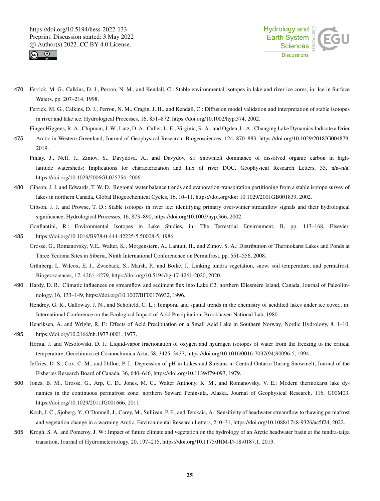

2019.



470 Ferrick, M. G., Calkins, D. J., Perron, N. M., and Kendall, C.: Stable environmental isotopes in lake and river ice cores, in: Ice in Surface Waters, pp. 207–214, 1998.

Ferrick, M. G., Calkins, D. J., Perron, N. M., Cragin, J. H., and Kendall, C.: Diffusion model validation and interpretation of stable isotopes in river and lake ice, Hydrological Processes, 16, 851–872, https://doi.org/10.1002/hyp.374, 2002.

Finger Higgens, R. A., Chipman, J. W., Lutz, D. A., Culler, L. E., Virginia, R. A., and Ogden, L. A.: Changing Lake Dynamics Indicate a Drier 475 Arctic in Western Greenland, Journal of Geophysical Research: Biogeosciences, 124, 870–883, https://doi.org/10.1029/2018JG004879,

- Finlay, J., Neff, J., Zimov, S., Davydova, A., and Davydov, S.: Snowmelt dominance of dissolved organic carbon in highlatitude watersheds: Implications for characterization and flux of river DOC, Geophysical Research Letters, 33, n/a–n/a, https://doi.org/10.1029/2006GL025754, 2006.
- 480 Gibson, J. J. and Edwards, T. W. D.: Regional water balance trends and evaporation-transpiration partitioning from a stable isotope survey of lakes in northern Canada, Global Biogeochemical Cycles, 16, 10–11, https://doi.org/doi: 10.1029/2001GB001839, 2002.

Gibson, J. J. and Prowse, T. D.: Stable isotopes in river ice: identifying primary over-winter streamflow signals and their hydrological significance, Hydrological Processes, 16, 873–890, https://doi.org/10.1002/hyp.366, 2002.

- Gonfiantini, R.: Environmental Isotopes in Lake Studies, in: The Terrestrial Environment, B, pp. 113–168, Elsevier, 485 https://doi.org/10.1016/B978-0-444-42225-5.50008-5, 1986.
- Grosse, G., Romanovsky, V.E., Walter, K., Morgenstern, A., Lantuit, H., and Zimov, S. A.: Distribution of Thermokarst Lakes and Ponds at Three Yedoma Sites in Siberia, Ninth International Conferencnce on Permafrost, pp. 551–556, 2008.
	- Grünberg, I., Wilcox, E. J., Zwieback, S., Marsh, P., and Boike, J.: Linking tundra vegetation, snow, soil temperature, and permafrost, Biogeosciences, 17, 4261–4279, https://doi.org/10.5194/bg-17-4261-2020, 2020.
- 490 Hardy, D. R.: Climatic influences on streamflow and sediment flux into Lake C2, northern Ellesmere Island, Canada, Journal of Paleolimnology, 16, 133–149, https://doi.org/10.1007/BF00176932, 1996.

Hendrey, G. R., Galloway, J. N., and Schofield, C. L.: Temporal and spatial trends in the chemistry of acidified lakes under ice cover., in: International Conference on the Ecological Impact of Acid Precipitation, Brookhaven National Lab, 1980.

Henriksen, A. and Wright, R. F.: Effects of Acid Precipitation on a Small Acid Lake in Southern Norway, Nordic Hydrology, 8, 1–10, 495 https://doi.org/10.2166/nh.1977.0001, 1977.

- Horita, J. and Wesolowski, D. J.: Liquid-vapor fractionation of oxygen and hydrogen isotopes of water from the freezing to the critical temperature, Geochimica et Cosmochimica Acta, 58, 3425–3437, https://doi.org/10.1016/0016-7037(94)90096-5, 1994.
- Jeffries, D. S., Cox, C. M., and Dillon, P. J.: Depression of pH in Lakes and Streams in Central Ontario During Snowmelt, Journal of the Fisheries Research Board of Canada, 36, 640–646, https://doi.org/10.1139/f79-093, 1979.
- 500 Jones, B. M., Grosse, G., Arp, C. D., Jones, M. C., Walter Anthony, K. M., and Romanovsky, V. E.: Modern thermokarst lake dynamics in the continuous permafrost zone, northern Seward Peninsula, Alaska, Journal of Geophysical Research, 116, G00M03, https://doi.org/10.1029/2011JG001666, 2011.
	- Koch, J. C., Sjoberg, Y., O'Donnell, J., Carey, M., Sullivan, P. F., and Terskaia, A.: Sensitivity of headwater streamflow to thawing permafrost and vegetation change in a warming Arctic, Environmental Research Letters, 2, 0–31, https://doi.org/10.1088/1748-9326/ac5f2d, 2022.
- 505 Krogh, S. A. and Pomeroy, J. W.: Impact of future climate and vegetation on the hydrology of an Arctic headwater basin at the tundra-taiga transition, Journal of Hydrometeorology, 20, 197–215, https://doi.org/10.1175/JHM-D-18-0187.1, 2019.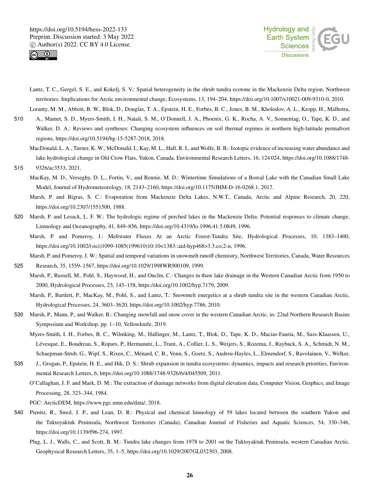



Lantz, T. C., Gergel, S. E., and Kokelj, S. V.: Spatial heterogeneity in the shrub tundra ecotone in the Mackenzie Delta region, Northwest territories: Implications for Arctic environmental change, Ecosystems, 13, 194–204, https://doi.org/10.1007/s10021-009-9310-0, 2010.

Loranty, M. M., Abbott, B. W., Blok, D., Douglas, T. A., Epstein, H. E., Forbes, B. C., Jones, B. M., Kholodov, A. L., Kropp, H., Malhotra, 510 A., Mamet, S. D., Myers-Smith, I. H., Natali, S. M., O'Donnell, J. A., Phoenix, G. K., Rocha, A. V., Sonnentag, O., Tape, K. D., and Walker, D. A.: Reviews and syntheses: Changing ecosystem influences on soil thermal regimes in northern high-latitude permafrost

- regions, https://doi.org/10.5194/bg-15-5287-2018, 2018.
- MacDonald, L. A., Turner, K. W., McDonald, I., Kay, M. L., Hall, R. I., and Wolfe, B. B.: Isotopic evidence of increasing water abundance and lake hydrological change in Old Crow Flats, Yukon, Canada, Environmental Research Letters, 16, 124 024, https://doi.org/10.1088/1748-
- 515 9326/ac3533, 2021.
	- MacKay, M. D., Verseghy, D. L., Fortin, V., and Rennie, M. D.: Wintertime Simulations of a Boreal Lake with the Canadian Small Lake Model, Journal of Hydrometeorology, 18, 2143–2160, https://doi.org/10.1175/JHM-D-16-0268.1, 2017.
	- Marsh, P. and Bigras, S. C.: Evaporation from Mackenzie Delta Lakes, N.W.T., Canada, Arctic and Alpine Research, 20, 220, https://doi.org/10.2307/1551500, 1988.
- 520 Marsh, P. and Lesack, L. F. W.: The hydrologic regime of perched lakes in the Mackenzie Delta: Potential responses to climate change, Limnology and Oceanography, 41, 849–856, https://doi.org/10.4319/lo.1996.41.5.0849, 1996.
	- Marsh, P. and Pomeroy, J.: Meltwater Fluxes At an Arctic Forest-Tundra Site, Hydrological Processes, 10, 1383–1400, https://doi.org/10.1002/(sici)1099-1085(199610)10:10<1383::aid-hyp468>3.3.co;2-n, 1996.

Marsh, P. and Pomeroy, J. W.: Spatial and temporal variations in snowmelt runoff chemistry, Northwest Territories, Canada, Water Resources

525 Research, 35, 1559–1567, https://doi.org/10.1029/1998WR900109, 1999.

Marsh, P., Russell, M., Pohl, S., Haywood, H., and Onclin, C.: Changes in thaw lake drainage in the Western Canadian Arctic from 1950 to 2000, Hydrological Processes, 23, 145–158, https://doi.org/10.1002/hyp.7179, 2009.

Marsh, P., Bartlett, P., MacKay, M., Pohl, S., and Lantz, T.: Snowmelt energetics at a shrub tundra site in the western Canadian Arctic, Hydrological Processes, 24, 3603–3620, https://doi.org/10.1002/hyp.7786, 2010.

- 530 Marsh, P., Mann, P., and Walker, B.: Changing snowfall and snow cover in the western Canadian Arctic, in: 22nd Northern Research Basins Symposium and Workshop, pp. 1–10, Yellowknife, 2019.
	- Myers-Smith, I. H., Forbes, B. C., Wilmking, M., Hallinger, M., Lantz, T., Blok, D., Tape, K. D., Macias-Fauria, M., Sass-Klaassen, U., Lévesque, E., Boudreau, S., Ropars, P., Hermanutz, L., Trant, A., Collier, L. S., Weijers, S., Rozema, J., Rayback, S. A., Schmidt, N. M., Schaepman-Strub, G., Wipf, S., Rixen, C., Ménard, C. B., Venn, S., Goetz, S., Andreu-Hayles, L., Elmendorf, S., Ravolainen, V., Welker,
- 535 J., Grogan, P., Epstein, H. E., and Hik, D. S.: Shrub expansion in tundra ecosystems: dynamics, impacts and research priorities, Environmental Research Letters, 6, https://doi.org/10.1088/1748-9326/6/4/045509, 2011.
	- O'Callaghan, J. F. and Mark, D. M.: The extraction of drainage networks from digital elevation data, Computer Vision, Graphics, and Image Processing, 28, 323–344, 1984.
	- PGC: ArcticDEM, https://www.pgc.umn.edu/data/, 2018.
- 540 Pienitz, R., Smol, J. P., and Lean, D. R.: Physical and chemical limnology of 59 lakes located between the southern Yukon and the Tuktoyaktuk Peninsula, Northwest Territories (Canada), Canadian Journal of Fisheries and Aquatic Sciences, 54, 330–346, https://doi.org/10.1139/f96-274, 1997.
	- Plug, L. J., Walls, C., and Scott, B. M.: Tundra lake changes from 1978 to 2001 on the Tuktoyaktuk Peninsula, western Canadian Arctic, Geophysical Research Letters, 35, 1–5, https://doi.org/10.1029/2007GL032303, 2008.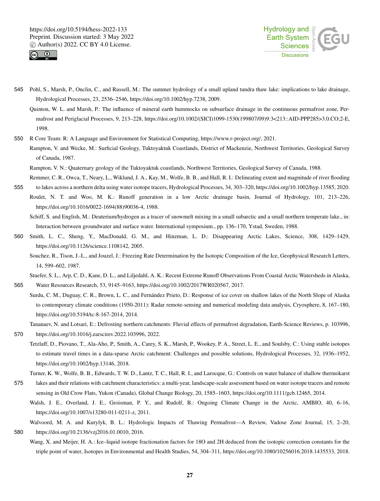



- 545 Pohl, S., Marsh, P., Onclin, C., and Russell, M.: The summer hydrology of a small upland tundra thaw lake: implications to lake drainage, Hydrological Processes, 23, 2536–2546, https://doi.org/10.1002/hyp.7238, 2009.
	- Quinton, W. L. and Marsh, P.: The influence of mineral earth hummocks on subsurface drainage in the continuous permafrost zone, Permafrost and Periglacial Processes, 9, 213–228, https://doi.org/10.1002/(SICI)1099-1530(199807/09)9:3<213::AID-PPP285>3.0.CO;2-E, 1998.
- 550 R Core Team: R: A Language and Environment for Statistical Computing, https://www.r-project.org/, 2021.

Rampton, V. and Wecke, M.: Surficial Geology, Tuktoyaktuk Coastlands, District of Mackenzie, Northwest Territories, Geological Survey of Canada, 1987.

Rampton, V. N.: Quaternary geology of the Tuktoyaktuk coastlands, Northwest Territories, Geological Survey of Canada, 1988.

Remmer, C. R., Owca, T., Neary, L., Wiklund, J. A., Kay, M., Wolfe, B. B., and Hall, R. I.: Delineating extent and magnitude of river flooding 555 to lakes across a northern delta using water isotope tracers, Hydrological Processes, 34, 303–320, https://doi.org/10.1002/hyp.13585, 2020.

Roulet, N. T. and Woo, M. K.: Runoff generation in a low Arctic drainage basin, Journal of Hydrology, 101, 213–226, https://doi.org/10.1016/0022-1694(88)90036-4, 1988.

Schiff, S. and English, M.: Deuterium/hydrogen as a tracer of snowmelt mixing in a small subarctic and a small northern temperate lake., in: Interaction between groundwater and surface water. International symposium., pp. 136–170, Ystad, Sweden, 1988.

- 560 Smith, L. C., Sheng, Y., MacDonald, G. M., and Hinzman, L. D.: Disappearing Arctic Lakes, Science, 308, 1429–1429, https://doi.org/10.1126/science.1108142, 2005.
	- Souchez, R., Tison, J.-L., and Jouzel, J.: Freezing Rate Determination by the Isotopic Composition of the Ice, Geophysical Research Letters, 14, 599–602, 1987.
- Stuefer, S. L., Arp, C. D., Kane, D. L., and Liljedahl, A. K.: Recent Extreme Runoff Observations From Coastal Arctic Watersheds in Alaska, 565 Water Resources Research, 53, 9145–9163, https://doi.org/10.1002/2017WR020567, 2017.
- Surdu, C. M., Duguay, C. R., Brown, L. C., and Fernández Prieto, D.: Response of ice cover on shallow lakes of the North Slope of Alaska to contemporary climate conditions (1950-2011): Radar remote-sensing and numerical modeling data analysis, Cryosphere, 8, 167–180, https://doi.org/10.5194/tc-8-167-2014, 2014.
- Tananaev, N. and Lotsari, E.: Defrosting northern catchments: Fluvial effects of permafrost degradation, Earth-Science Reviews, p. 103996, 570 https://doi.org/10.1016/j.earscirev.2022.103996, 2022.
	- Tetzlaff, D., Piovano, T., Ala-Aho, P., Smith, A., Carey, S. K., Marsh, P., Wookey, P. A., Street, L. E., and Soulsby, C.: Using stable isotopes to estimate travel times in a data-sparse Arctic catchment: Challenges and possible solutions, Hydrological Processes, 32, 1936–1952, https://doi.org/10.1002/hyp.13146, 2018.
- Turner, K. W., Wolfe, B. B., Edwards, T. W. D., Lantz, T. C., Hall, R. I., and Larocque, G.: Controls on water balance of shallow thermokarst 575 lakes and their relations with catchment characteristics: a multi-year, landscape-scale assessment based on water isotope tracers and remote sensing in Old Crow Flats, Yukon (Canada), Global Change Biology, 20, 1585–1603, https://doi.org/10.1111/gcb.12465, 2014.
	- Walsh, J. E., Overland, J. E., Groisman, P. Y., and Rudolf, B.: Ongoing Climate Change in the Arctic, AMBIO, 40, 6–16, https://doi.org/10.1007/s13280-011-0211-z, 2011.
- Walvoord, M. A. and Kurylyk, B. L.: Hydrologic Impacts of Thawing Permafrost—A Review, Vadose Zone Journal, 15, 2–20, 580 https://doi.org/10.2136/vzj2016.01.0010, 2016.
	- Wang, X. and Meijer, H. A.: Ice–liquid isotope fractionation factors for 18O and 2H deduced from the isotopic correction constants for the triple point of water, Isotopes in Environmental and Health Studies, 54, 304–311, https://doi.org/10.1080/10256016.2018.1435533, 2018.